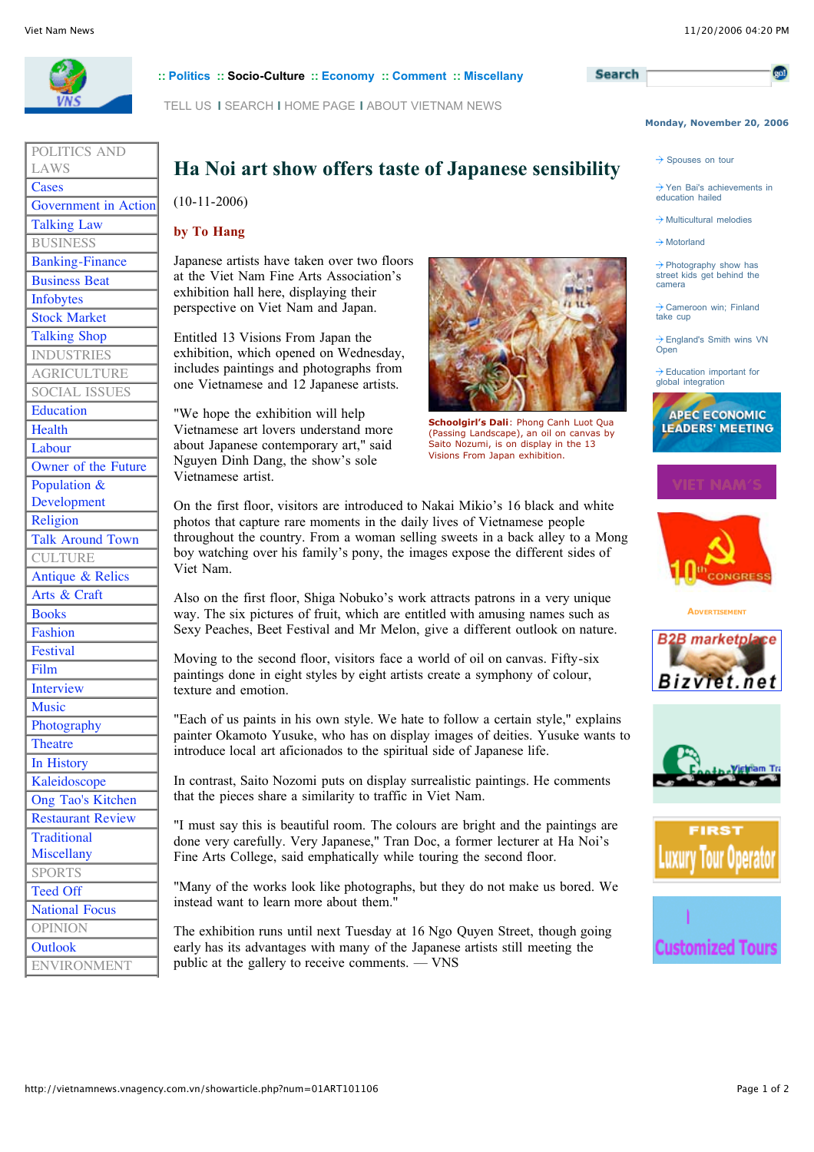

POLITICS AND

Talking Law **BUSINESS** Banking-Finance Business Beat Infobytes Stock Market Talking Shop **INDUSTRIES** AGRICULTURE SOCIAL ISSUES

Education Health Labour

Population & Development Religion

**CULTURE** Antique & Relics Arts & Craft Books Fashion **Festival** Film Interview Music Photography **Theatre** In History Kaleidoscope Ong Tao's Kitchen Restaurant Review

**Traditional** Miscellany SPORTS Teed Off National Focus OPINION **Outlook** 

ENVIRONMENT

Owner of the Future

Talk Around Town

Government in Action

LAWS **Cases** 

### **:: Politics :: Socio-Culture :: Economy :: Comment :: Miscellany**

TELL US **I** SEARCH **I** HOME PAGE **I** ABOUT VIETNAM NEWS

# **Ha Noi art show offers taste of Japanese sensibility**

(10-11-2006)

## **by To Hang**

Japanese artists have taken over two floors at the Viet Nam Fine Arts Association's exhibition hall here, displaying their perspective on Viet Nam and Japan.

Entitled 13 Visions From Japan the exhibition, which opened on Wednesday, includes paintings and photographs from one Vietnamese and 12 Japanese artists.

"We hope the exhibition will help Vietnamese art lovers understand more about Japanese contemporary art," said Nguyen Dinh Dang, the show's sole Vietnamese artist.



**Schoolgirl's Dali**: Phong Canh Luot Qua (Passing Landscape), an oil on canvas by Saito Nozumi, is on display in the 13 Visions From Japan exhibition.

On the first floor, visitors are introduced to Nakai Mikio's 16 black and white photos that capture rare moments in the daily lives of Vietnamese people throughout the country. From a woman selling sweets in a back alley to a Mong boy watching over his family's pony, the images expose the different sides of Viet Nam.

Also on the first floor, Shiga Nobuko's work attracts patrons in a very unique way. The six pictures of fruit, which are entitled with amusing names such as Sexy Peaches, Beet Festival and Mr Melon, give a different outlook on nature.

Moving to the second floor, visitors face a world of oil on canvas. Fifty-six paintings done in eight styles by eight artists create a symphony of colour, texture and emotion.

"Each of us paints in his own style. We hate to follow a certain style," explains painter Okamoto Yusuke, who has on display images of deities. Yusuke wants to introduce local art aficionados to the spiritual side of Japanese life.

In contrast, Saito Nozomi puts on display surrealistic paintings. He comments that the pieces share a similarity to traffic in Viet Nam.

"I must say this is beautiful room. The colours are bright and the paintings are done very carefully. Very Japanese," Tran Doc, a former lecturer at Ha Noi's Fine Arts College, said emphatically while touring the second floor.

"Many of the works look like photographs, but they do not make us bored. We instead want to learn more about them."

The exhibition runs until next Tuesday at 16 Ngo Quyen Street, though going early has its advantages with many of the Japanese artists still meeting the public at the gallery to receive comments. — VNS







**ADVERTISEMENT**







## **Search**

 $\rightarrow$  Spouses on tour

 $\rightarrow$  Yen Bai's achievements in education hailed

**Monday, November 20, 2006**

 $\rightarrow$  Multicultural melodies

 $\rightarrow$  Motorland

 $\rightarrow$  Photography show has street kids get behind the camera

Cameroon win; Finland take cup

 $\rightarrow$  England's Smith wins VN **Open** 

 $\rightarrow$  Education important for global integration